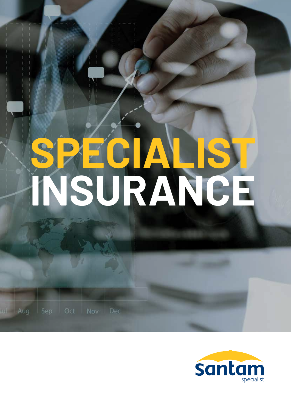# **SPECIALIST INSURANCE**

lul Aug

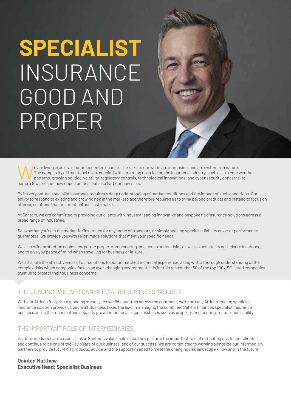# **SPECIALIST** INSURANCE GOOD AND PROPER

We are living in an era of unprecedented change. The risks to our world are increasing, and are systemic in nature.<br>The complexity of traditional risks, coupled with emerging risks facing the insurance industry, such as ex The complexity of traditional risks, coupled with emerging risks facing the insurance industry, such as extreme weather patterns, growing political volatility, regulatory controls, technological innovations, and cyber security concerns, to name a few, present new opportunities, but also harbour new risks.

By its very nature, specialist insurance requires a deep understanding of market conditions and the impact of such conditions. Our ability to respond to existing and growing risk in the marketplace therefore requires us to think beyond products and instead to focus on offering solutions that are practical and sustainable.

At Santam, we are committed to providing our clients with industry-leading innovative and bespoke risk insurance solutions across a broad range of industries.

So, whether you're in the market for insurance for any mode of transport, or simply seeking specialist liability cover or performance guarantees, we provide you with tailor-made solutions that meet your specific needs.

We also offer protection against corporate property, engineering, and construction risks, as well as hospitality and leisure insurance, and to give you peace of mind when travelling for business or leisure.

We attribute the attractiveness of our solutions to our unmatched technical experience, along with a thorough understanding of the complex risks which companies face in an ever-changing environment. It is for this reason that 80 of the top 100 JSE-listed companies trust us to protect their business concerns.

#### THE LEADING PAN-AFRICAN SPECIALIST BUSINESS INSURER

With our African footprint expanding steadily to over 26 countries across the continent, we're proudly Africa's leading specialist insurance solution provider. Specialist Business takes the lead in managing the combined Saham Finances specialist insurance business and is the technical and capacity provider for certain specialist lines such as property, engineering, marine, and liability.

#### THE IMPORTANT ROLE OF INTERMEDIARIES

Our intermediaries are a crucial link in Santam's value chain since they perform the important role of mitigating risk for our clients, and continue to be one of the key pillars of our business, and of our success. We are committed to working alongside our intermediary partners to provide future-fit products, advice and the support needed to meet the changing risk landscape – now and in the future.

#### **Quinten Matthew Executive Head: Specialist Business**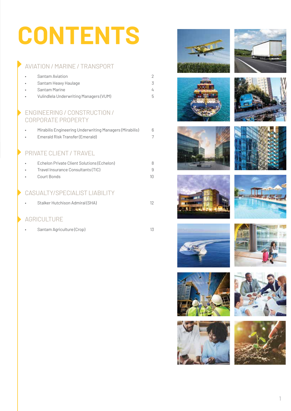# **CONTENTS**

### AVIATION / MARINE / TRANSPORT

| $\bullet$ | Santam Aviation                        |    |
|-----------|----------------------------------------|----|
| $\bullet$ | Santam Heavy Haulage                   |    |
| $\bullet$ | Santam Marine                          |    |
| $\bullet$ | Vulindlela Underwriting Managers (VUM) | h. |

#### ENGINEERING / CONSTRUCTION / CORPORATE PROPERTY

| $\bullet$ | Mirabilis Engineering Underwriting Managers (Mirabilis)<br>Emerald Risk Transfer (Emerald) | 6 |
|-----------|--------------------------------------------------------------------------------------------|---|
|           | <b>PRIVATE CLIENT / TRAVEL</b>                                                             |   |
|           | Echelon Private Client Solutions (Echelon)                                                 | 8 |
|           | Travel Insurance Consultants (TIC)                                                         | 9 |
|           | Court Bonds                                                                                |   |
|           |                                                                                            |   |

### CASUALTY/SPECIALIST LIABILITY

| Stalker Hutchison Admiral (SHA) |  |
|---------------------------------|--|

### AGRICULTURE

• Santam Agriculture (Crop) 13



























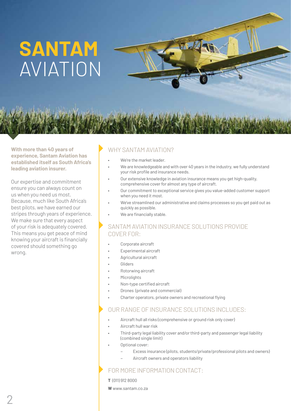# **SANTAM** AVIATION

**With more than 40 years of experience, Santam Aviation has established itself as South Africa's leading aviation insurer.** 

Our expertise and commitment ensure you can always count on us when you need us most. Because, much like South Africa's best pilots, we have earned our stripes through years of experience. We make sure that every aspect of your risk is adequately covered. This means you get peace of mind knowing your aircraft is financially covered should something go wrong.

### WHY SANTAM AVIATION?

- We're the market leader.
- We are knowledgeable and with over 40 years in the industry, we fully understand your risk profile and insurance needs.
- Our extensive knowledge in aviation insurance means you get high-quality, comprehensive cover for almost any type of aircraft.
- Our commitment to exceptional service gives you value-added customer support when you need it most.
- We've streamlined our administrative and claims processes so you get paid out as quickly as possible.
- We are financially stable.

#### SANTAM AVIATION INSURANCE SOLUTIONS PROVIDE COVER FOR:

- Corporate aircraft
- Experimental aircraft
- Agricultural aircraft
- **Gliders**
- Rotorwing aircraft
- **Microlights**
- Non-type certified aircraft
- Drones (private and commercial)
- Charter operators, private owners and recreational flying

#### OUR RANGE OF INSURANCE SOLUTIONS INCLUDES:

- Aircraft hull all risks (comprehensive or ground risk only cover)
- Aircraft hull war risk
- Third-party legal liability cover and/or third-party and passenger legal liability (combined single limit)
- Optional cover:
	- Excess insurance (pilots, students/private/professional pilots and owners)
	- Aircraft owners and operators liability

- **T** (011) 912 8000
- **W** www.santam.co.za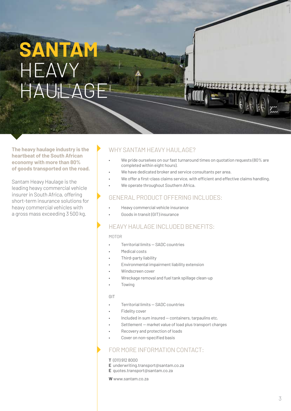# **SANTAM** HEAVY  $H$ A $H$ l $\gamma$

**The heavy haulage industry is the heartbeat of the South African economy with more than 80% of goods transported on the road.** 

Santam Heavy Haulage is the leading heavy commercial vehicle insurer in South Africa, offering short-term insurance solutions for heavy commercial vehicles with a gross mass exceeding 3 500 kg.

#### WHY SANTAM HEAVY HAUL AGE?

- We pride ourselves on our fast turnaround times on quotation requests (80% are completed within eight hours).
- We have dedicated broker and service consultants per area.
- We offer a first-class claims service, with efficient and effective claims handling.
- We operate throughout Southern Africa.

#### GENERAL PRODUCT OFFERING INCLUDES:

- Heavy commercial vehicle insurance
- Goods in transit (GIT) insurance

#### HEAVY HAULAGE INCLUDED BENEFITS:

#### MOTOR

- Territorial limits SADC countries
- Medical costs
- Third-party liability
- Environmental impairment liability extension
- Windscreen cover
- Wreckage removal and fuel tank spillage clean-up
- Towing

#### GIT

- Territorial limits SADC countries
- Fidelity cover
- Included in sum insured containers, tarpaulins etc.
- Settlement market value of load plus transport charges
- Recovery and protection of loads
- Cover on non-specified basis

#### FOR MORE INFORMATION CONTACT:

#### **T** (011) 912 8000

- **E** underwriting.transport@santam.co.za
- **E** quotes.transport@santam.co.za

**W** www.santam.co.za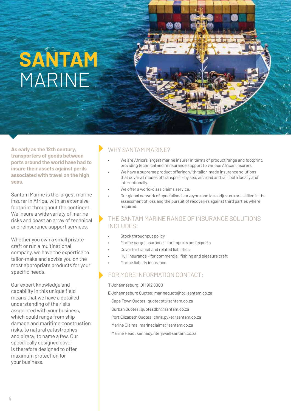# **SANTAM** MARINE

**As early as the 12th century, transporters of goods between ports around the world have had to insure their assets against perils associated with travel on the high seas.** 

Santam Marine is the largest marine insurer in Africa, with an extensive footprint throughout the continent. We insure a wide variety of marine risks and boast an array of technical and reinsurance support services.

Whether you own a small private craft or run a multinational company, we have the expertise to tailor-make and advise you on the most appropriate products for your specific needs.

Our expert knowledge and capability in this unique field means that we have a detailed understanding of the risks associated with your business, which could range from ship damage and maritime construction risks, to natural catastrophes and piracy, to name a few. Our specifically designed cover is therefore designed to offer maximum protection for your business.

### WHY SANTAM MARINE?

- We are Africa's largest marine insurer in terms of product range and footprint, providing technical and reinsurance support to various African insurers.
- We have a supreme product offering with tailor-made insurance solutions that cover all modes of transport – by sea, air, road and rail, both locally and internationally.
- We offer a world-class claims service.
- Our global network of specialised surveyors and loss adjusters are skilled in the assessment of loss and the pursuit of recoveries against third parties where required.

#### THE SANTAM MARINE RANGE OF INSURANCE SOLUTIONS INCLUDES:

- Stock throughput policy
- Marine cargo insurance for imports and exports
- Cover for transit and related liabilities
- Hull insurance for commercial, fishing and pleasure craft
- Marine liability insurance

- **T** Johannesburg: 011 912 8000
- **E** Johannesburg Quotes: marinequotejhb@santam.co.za
- Cape Town Quotes: quotecpt@santam.co.za
- Durban Quotes: quotesdbn@santam.co.za
- Port Elizabeth Quotes: chris.pyke@santam.co.za
- Marine Claims: marineclaims@santam.co.za
- Marine Head: kennedy.ntenjwa@santam.co.za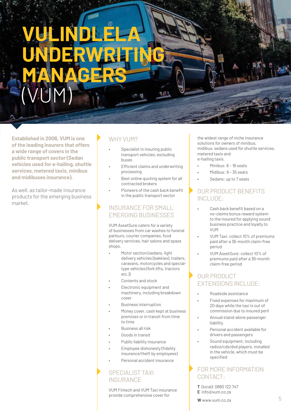# **VULINDLELA UNDERWRITING MANAGERS** (VUM)

**Established in 2006, VUM is one of the leading insurers that offers a wide range of covers in the public transport sector (Sedan vehicles used for e-hailing, shuttle services, metered taxis, minibus and midibuses insurance).** 

As well, as tailor-made insurance products for the emerging business market.

### WHY VUM?

- Specialist in insuring public transport vehicles, excluding buses
- Efficient claims and underwriting processing
- Best online quoting system for all contracted brokers
- Pioneers of the cash back benefit in the public transport sector

#### INSURANCE FOR SMALL EMERGING BUSINESSES

VUM AssetSure caters for a variety of businesses from car washes to funeral parlours, courier companies, food delivery services, hair salons and spaza shops.

- Motor section (sedans, light delivery vehicles (bakkies), trailers, caravans, motorcycles and specialtype vehicles (fork lifts, tractors etc.))
- Contents and stock
- Electronic equipment and machinery, including breakdown cover
- Business interruption
- Money cover, cash kept at business premises or in transit from time to time
- Business all risk
- Goods in transit
- Public liability insurance
- Employee dishonesty (fidelity insurance/theft by employees)
- Personal accident insurance

#### SPECIALIST TAXI **INSURANCE**

VUM Fintech and VUM Taxi insurance provide comprehensive cover for

the widest range of niche insurance solutions for owners of minibus, midibus, sedans used for shuttle services, metered taxis and e-hailing taxis.

- Minibus: 8 18 seats
- Midibus: 9 35 seats
- Sedans: up to 7 seats

#### OUR PRODUCT BENEFITS INCLUDE:

- Cash back benefit based on a no-claims bonus reward system to the insured for applying sound business practice and loyalty to **VIIM**
- VUM Taxi: collect 10% of premiums paid after a 36-month claim-free period
- VUM AssetSure: collect 10% of premiums paid after a 36-month claim-free period

### OUR PRODUCT EXTENSIONS INCLUDE:

- Roadside assistance
- Fixed expenses for maximum of 20 days while the taxi is out of commission due to insured peril
- Annual stand-alone passenger liability
- Personal accident available for drivers and passengers
- Sound equipment, including radios/cds/dvd players, installed in the vehicle, which must be specified

### FOR MORE INFORMATION CONTACT:

**T** (local): 0860 122 747 **E** info@vum.co.za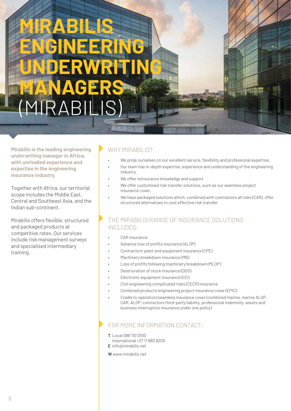# **MIRABILIS ENGINEERING UNDERWRITING MANAGERS**  $\mathsf{B}\mathsf{I}$

**Mirabilis is the leading engineering underwriting manager in Africa, with unrivalled experience and expertise in the engineering insurance industry.**

Together with Africa, our territorial scope includes the Middle East, Central and Southeast Asia, and the Indian sub-continent.

Mirabilis offers flexible, structured and packaged products at competitive rates. Our services include risk management surveys and specialised intermediary training.

### WHY MIRABILIS?

- We pride ourselves on our excellent service, flexibility and professional expertise.
- Our team has in-depth expertise, experience and understanding of the engineering industry.
- We offer reinsurance knowledge and support.
- We offer customised risk transfer solutions, such as our seamless project insurance cover.
- We have packaged solutions which, combined with contractors all risks (CAR), offer structured alternatives to cost effective risk transfer.

#### THE MIRABILIS RANGE OF INSURANCE SOLUTIONS INCLUDES:

- CAR insurance
- Advance loss of profits insurance (ALOP)
- Contractors' plant and equipment insurance (CPE)
- Machinery breakdown insurance (MB)
- Loss of profits following machinery breakdown (MLOP)
- Deterioration of stock insurance (DOS)
- Electronic equipment insurance (EEI)
- Civil engineering complicated risks (CECR) insurance
- Combined products engineering project insurance cover (EPIC)
- Cradle to operation/seamless insurance cover (combined marine, marine ALOP, CAR, ALOP, contractors third-party liability, professional indemnity, assets and business interruption insurance under one policy)

- **T** Local 086 110 0100
- International +27 11 880 8200
- **E** info@mirabilis.net
- **W** www.mirabilis.net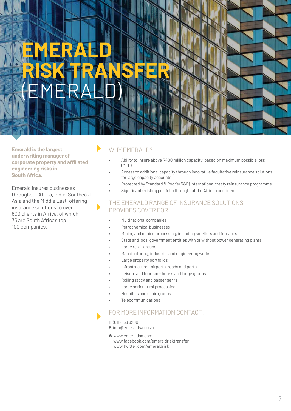# **EMERALD**  RISK TRANSFER (EMERALD)

**Emerald is the largest underwriting manager of corporate property and affiliated engineering risks in South Africa.** 

Emerald insures businesses throughout Africa, India, Southeast Asia and the Middle East, offering insurance solutions to over 600 clients in Africa, of which 75 are South Africa's top 100 companies.

### WHY EMERALD?

- Ability to insure above R400 million capacity, based on maximum possible loss (MPL)
- Access to additional capacity through innovative facultative reinsurance solutions for large capacity accounts
- Protected by Standard & Poor's (S&P) international treaty reinsurance programme
- Significant existing portfolio throughout the African continent

#### THE EMERALD RANGE OF INSURANCE SOLUTIONS PROVIDES COVER FOR:

- Multinational companies
- Petrochemical businesses
- Mining and mining processing, including smelters and furnaces
- State and local government entities with or without power generating plants
- Large retail groups
- Manufacturing, industrial and engineering works
- Large property portfolios
- Infrastructure airports, roads and ports
- Leisure and tourism hotels and lodge groups
- Rolling stock and passenger rail
- Large agricultural processing
- Hospitals and clinic groups
- **Telecommunications**

#### FOR MORE INFORMATION CONTACT:

- **T** (011) 658 8200
- **E** info@emeraldsa.co.za

**W** www.emeraldsa.com

www.facebook.com/emeraldrisktransfer www.twitter.com/emeraldrisk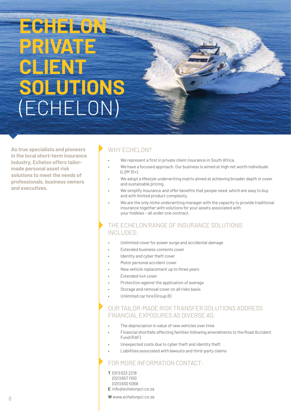# **ECHELON PRIVATE CLE**N **SOLUTIONS**  (ECHELON)

**As true specialists and pioneers in the local short-term insurance industry, Echelon offers tailormade personal asset risk solutions to meet the needs of professionals, business owners and executives.**

### WHY ECHELON?

- We represent a first in private client insurance in South Africa.
- We have a focused approach. Our business is aimed at high net worth individuals (LSM 10+).
- We adopt a lifestyle underwriting matrix aimed at achieving broader depth in cover and sustainable pricing.
- We simplify insurance and offer benefits that people need, which are easy to buy and with limited product complexity.
- We are the only niche underwriting manager with the capacity to provide traditional insurance together with solutions for your assets associated with your hobbies – all under one contract.

#### THE ECHELON RANGE OF INSURANCE SOLUTIONS INCLUDES:

- Unlimited cover for power surge and accidental damage
- Extended business contents cover
- Identity and cyber theft cover
- Motor personal accident cover
- New vehicle replacement up to three years
- Extended 4x4 cover
- Protection against the application of average
- Storage and removal cover on all risks basis
- Unlimited car hire (Group B)

#### OUR TAILOR-MADE RISK TRANSFER SOLUTIONS ADDRESS FINANCIAL EXPOSURES AS DIVERSE AS:

- The depreciation in value of new vehicles over time
- Financial shortfalls affecting families following amendments to the Road Accident Fund (RAF)
- Unexpected costs due to cyber theft and identity theft
- Liabilities associated with lawsuits and third-party claims

#### FOR MORE INFORMATION CONTACT:

- **T** (011) 023 2218 (021) 657 1100 (031) 830 5058
- **E** info@echelonpci.co.za

**W** www.echelonpci.co.za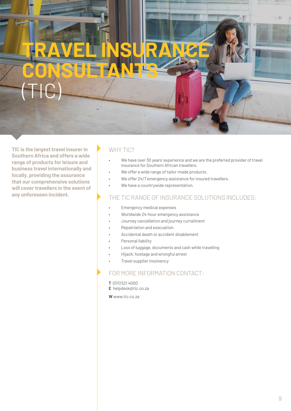# **TRAVEL INSURANCE CONSULTANTS** (TIC)

**TIC is the largest travel insurer in Southern Africa and offers a wide range of products for leisure and business travel internationally and locally, providing the assurance that our comprehensive solutions will cover travellers in the event of any unforeseen incident.**

#### WHY TIC?

- We have over 30 years' experience and we are the preferred provider of travel insurance for Southern African travellers.
- We offer a wide range of tailor-made products.
	- We offer 24/7 emergency assistance for insured travellers.
- We have a countrywide representation.

#### THE TIC RANGE OF INSURANCE SOLUTIONS INCLUDES:

- Emergency medical expenses
- Worldwide 24-hour emergency assistance
- Journey cancellation and journey curtailment
- Repatriation and evacuation
- Accidental death or accident disablement
- Personal liability
- Loss of luggage, documents and cash while travelling
- Hijack, hostage and wrongful arrest
- Travel supplier insolvency

#### FOR MORE INFORMATION CONTACT:

**T** (011) 521 4000

**E** helpdesk@tic.co.za

**W** www.tic.co.za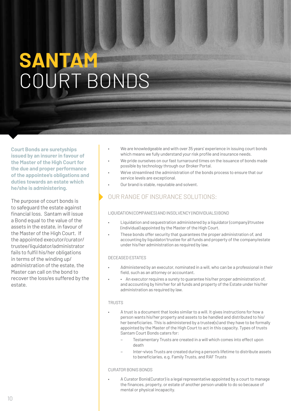# **SANTAM** COURT BONDS

**Court Bonds are suretyships issued by an insurer in favour of the Master of the High Court for the due and proper performance of the appointee's obligations and duties towards an estate which he/she is administering.**

The purpose of court bonds is to safeguard the estate against financial loss. Santam will issue a Bond equal to the value of the assets in the estate, in favour of the Master of the High Court. If the appointed executor/curator/ trustee/liquidator/administrator fails to fulfil his/her obligations in terms of the winding up/ administration of the estate, the Master can call on the bond to recover the loss/es suffered by the estate.

- We are knowledgeable and with over 35 years' experience in issuing court bonds which means we fully understand your risk profile and insurance needs.
- We pride ourselves on our fast turnaround times on the issuance of bonds made possible by technology through our Broker Portal.
- We've streamlined the administration of the bonds process to ensure that our service levels are exceptional.
- Our brand is stable, reputable and solvent.

#### OUR RANGE OF INSURANCE SOLUTIONS:

#### LIQUIDATION (COMPANIES) AND INSOLVENCY (INDIVIDUALS) BOND

- Liquidation and sequestration administered by a liquidator (company)/trustee (individual) appointed by the Master of the High Court.
- These bonds offer security that guarantees the proper administration of, and accounting by liquidator/trustee for all funds and property of the company/estate under his/her administration as required by law.

#### DECEASED ESTATES

- Administered by an executor, nominated in a will, who can be a professional in their field, such as an attorney or accountant.
- An executor requires a surety to guarantee his/her proper administration of, and accounting by him/her for all funds and property of the Estate under his/her administration as required by law.

#### TRUSTS

- A trust is a document that looks similar to a will. It gives instructions for how a person wants his/her property and assets to be handled and distributed to his/ her beneficiaries. This is administered by a trustee(s) and they have to be formally appointed by the Master of the High Court to act in this capacity. Types of trusts Santam Court Bonds caters for:
	- Testamentary Trusts are created in a will which comes into effect upon death
	- Inter-vivos Trusts are created during a person's lifetime to distribute assets to beneficiaries, e.g. Family Trusts, and RAF Trusts

#### CURATOR BONIS BONDS

• A Curator Bonis(Curator) is a legal representative appointed by a court to manage the finances, property, or estate of another person unable to do so because of mental or physical incapacity.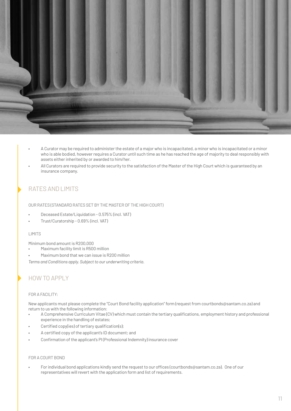

- A Curator may be required to administer the estate of a major who is incapacitated, a minor who is incapacitated or a minor who is able bodied, however requires a Curator until such time as he has reached the age of majority to deal responsibly with assets either inherited by or awarded to him/her.
- All Curators are required to provide security to the satisfaction of the Master of the High Court which is guaranteed by an insurance company.

#### RATES AND LIMITS

OUR RATES (STANDARD RATES SET BY THE MASTER OF THE HIGH COURT)

- Deceased Estate/Liquidation 0.575% (incl. VAT)
- Trust/Curatorship 0.69% (incl. VAT)

#### LIMITS

Minimum bond amount is R200,000

- Maximum facility limit is R500 million
- Maximum bond that we can issue is R200 million

*Terms and Conditions apply. Subject to our underwriting criteria.*

#### HOW TO APPLY

#### FOR A FACILITY:

New applicants must please complete the "Court Bond facility application" form (request from courtbonds@santam.co.za) and return to us with the following information:

- A Comprehensive Curriculum Vitae (CV) which must contain the tertiary qualifications, employment history and professional experience in the handling of estates;
- Certified copy(ies) of tertiary qualification(s);
- A certified copy of the applicant's ID document; and
- Confirmation of the applicant's PI (Professional Indemnity) insurance cover

#### FOR A COURT BOND

• For individual bond applications kindly send the request to our offices (courtbonds@santam.co.za). One of our representatives will revert with the application form and list of requirements.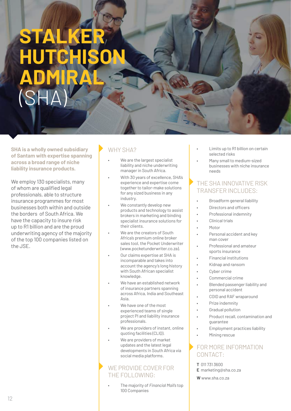# **STA HUTCHISON ADMIRAL** (SHA)

**SHA is a wholly owned subsidiary of Santam with expertise spanning across a broad range of niche liability insurance products.**

We employ 130 specialists, many of whom are qualified legal professionals, able to structure insurance programmes for most businesses both within and outside the borders of South Africa. We have the capacity to insure risk up to R1 billion and are the proud underwriting agency of the majority of the top 100 companies listed on the JSE.

### WHY SHA?

- We are the largest specialist liability and niche underwriting manager in South Africa.
- With 30 years of excellence, SHA's experience and expertise come together to tailor-make solutions for any sized business in any industry.
- We constantly develop new products and technology to assist brokers in marketing and binding specialist insurance solutions for their clients.
- We are the creators of South Africa's premium online broker sales tool, the Pocket Underwriter (www.pocketunderwriter.co.za).
- Our claims expertise at SHA is incomparable and takes into account the agency's long history with South African specialist knowledge.
- We have an established network of insurance partners spanning across Africa, India and Southeast Asia.
- We have one of the most experienced teams of single project PI and liability insurance professionals.
- We are providers of instant, online quoting facilities (CLIQ).
- We are providers of market updates and the latest legal developments in South Africa via social media platforms.

#### WE PROVIDE COVER FOR THE FOLLOWING:

• The majority of *Financial Mail's* top 100 Companies

- Limits up to R1 billion on certain selected risks
- Many small to medium-sized businesses with niche insurance needs

#### THE SHA INNOVATIVE RISK TRANSFFR INCLUDES:

- Broadform general liability
- Directors and officers
- Professional indemnity
- Clinical trials
- Motor
- Personal accident and key man cover
- Professional and amateur sports insurance
- Financial institutions
- Kidnap and ransom
- Cyber crime
- Commercial crime
- Blended passenger liability and personal accident
- COID and RAF wraparound
- Prize indemnity
- Gradual pollution
- Product recall, contamination and guarantee
- Employment practices liability
- Mining rescue

- **T** 011 731 3600 **E** marketing@sha.co.za
- **W** www.sha.co.za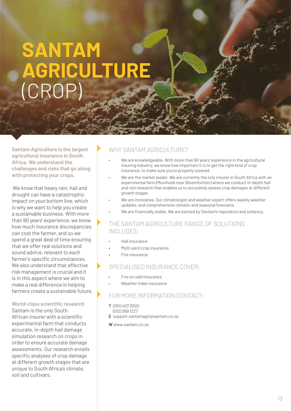### **SANTAM AGRICULTURE** (CROP)

**Santam Agriculture is the largest agricultural insurance in South Africa. We understand the challenges and risks that go along with protecting your crops.**

 We know that heavy rain, hail and drought can have a catastrophic impact on your bottom line, which is why we want to help you create a sustainable business. With more than 90 years' experience, we know how much insurance discrepancies can cost the farmer, and so we spend a great deal of time ensuring that we offer real solutions and sound advice, relevant to each farmer's specific circumstances. We also understand that effective risk management is crucial and it is in this aspect where we aim to make a real difference in helping farmers create a sustainable future.

#### **World-class scientific research**

Santam is the only South African insurer with a scientific experimental farm that conducts accurate, in-depth hail damage simulation research on crops in order to ensure accurate damage assessments. Our research entails specific analyses of crop damage at different growth stages that are unique to South Africa's climate, soil and cultivars.

#### WHY SANTAM AGRICULTURE?

- We are knowledgeable. With more than 90 years' experience in the agricultural insuring industry, we know how important it is to get the right kind of crop insurance, to make sure you're properly covered.
- We are the market leader. We are currently the only insurer in South Africa with an experimental farm (Mooihoek near Bloemfontein) where we conduct in-depth hail and rain research that enables us to accurately assess crop damages at different growth stages.
- We are innovative. Our climatologist and weather expert offers weekly weather updates, and comprehensive climatic and seasonal forecasts.
- We are financially stable. We are backed by Santam's reputation and solvency.

#### THE SANTAM AGRICULTURE RANGE OF SOLUTIONS INCLUDES:

- Hail insurance
- Multi-peril crop insurance
- Fire insurance

#### SPECIALISED INSURANCE COVER:

- Fire on veld insurance
- Weather index insurance

#### FOR MORE INFORMATION CONTACT:

- **T** (051) 407 3000
- (012) 369 1227 **E** support.santamagri@santam.co.za

**W** www.santam.co.za